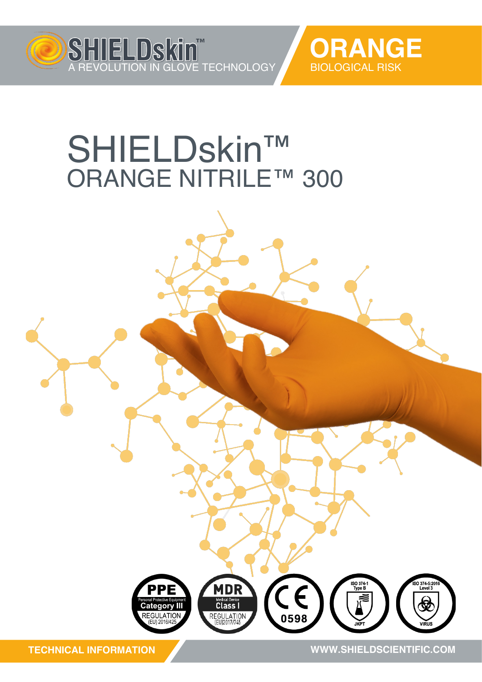



## ™ SHIELDskin ORANGE NITRILE™ 300



**TECHNICAL INFORMATION**

**WWW.SHIELDSCIENTIFIC.COM WWW.SHIELDSCIENTIFIC.COM**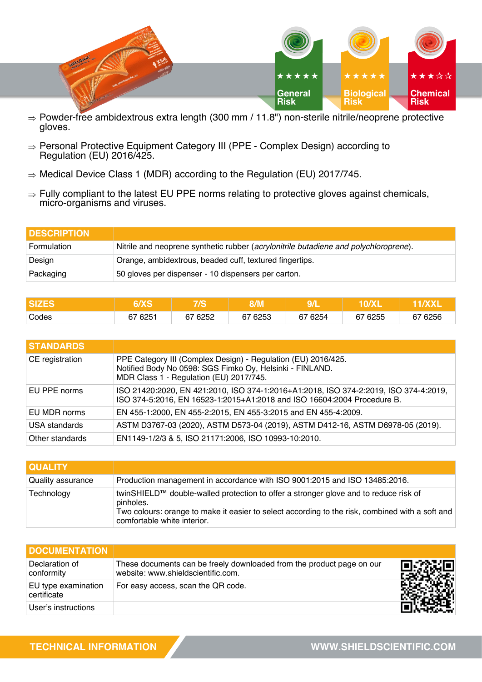

- $\Rightarrow$  Powder-free ambidextrous extra length (300 mm / 11.8") non-sterile nitrile/neoprene protective gloves.
- $\Rightarrow$  Personal Protective Equipment Category III (PPE Complex Design) according to Regulation (EU) 2016/425.
- $\Rightarrow$  Medical Device Class 1 (MDR) according to the Regulation (EU) 2017/745.
- $\Rightarrow$  Fully compliant to the latest EU PPE norms relating to protective gloves against chemicals, micro-organisms and viruses.

| <b>IDESCRIPTION</b> |                                                                                      |
|---------------------|--------------------------------------------------------------------------------------|
| Formulation         | Nitrile and neoprene synthetic rubber (acrylonitrile butadiene and polychloroprene). |
| Design              | Orange, ambidextrous, beaded cuff, textured fingertips.                              |
| Packaging           | 50 gloves per dispenser - 10 dispensers per carton.                                  |

|       |           | 79         |            | יו וע      |            |         |
|-------|-----------|------------|------------|------------|------------|---------|
| Codes | 625<br>67 | 67<br>6252 | 6253<br>67 | 67<br>6254 | 67<br>6255 | 67 6256 |

| <b>STANDARDS</b> |                                                                                                                                                                      |
|------------------|----------------------------------------------------------------------------------------------------------------------------------------------------------------------|
| CE registration  | PPE Category III (Complex Design) - Regulation (EU) 2016/425.<br>Notified Body No 0598: SGS Fimko Oy, Helsinki - FINLAND.<br>MDR Class 1 - Regulation (EU) 2017/745. |
| EU PPE norms     | ISO 21420:2020, EN 421:2010, ISO 374-1:2016+A1:2018, ISO 374-2:2019, ISO 374-4:2019,<br>ISO 374-5:2016, EN 16523-1:2015+A1:2018 and ISO 16604:2004 Procedure B.      |
| EU MDR norms     | EN 455-1:2000, EN 455-2:2015, EN 455-3:2015 and EN 455-4:2009.                                                                                                       |
| USA standards    | ASTM D3767-03 (2020), ASTM D573-04 (2019), ASTM D412-16, ASTM D6978-05 (2019).                                                                                       |
| Other standards  | EN1149-1/2/3 & 5, ISO 21171:2006, ISO 10993-10:2010.                                                                                                                 |

| <b>QUALITY</b>    |                                                                                                                                                                                                                                     |
|-------------------|-------------------------------------------------------------------------------------------------------------------------------------------------------------------------------------------------------------------------------------|
| Quality assurance | Production management in accordance with ISO 9001:2015 and ISO 13485:2016.                                                                                                                                                          |
| Technology        | twinSHIELD™ double-walled protection to offer a stronger glove and to reduce risk of<br>pinholes.<br>Two colours: orange to make it easier to select according to the risk, combined with a soft and<br>comfortable white interior. |

| <b>DOCUMENTATION</b>               |                                                                                                             |  |
|------------------------------------|-------------------------------------------------------------------------------------------------------------|--|
| Declaration of<br>conformity       | These documents can be freely downloaded from the product page on our<br>website: www.shieldscientific.com. |  |
| EU type examination<br>certificate | For easy access, scan the QR code.                                                                          |  |
| User's instructions                |                                                                                                             |  |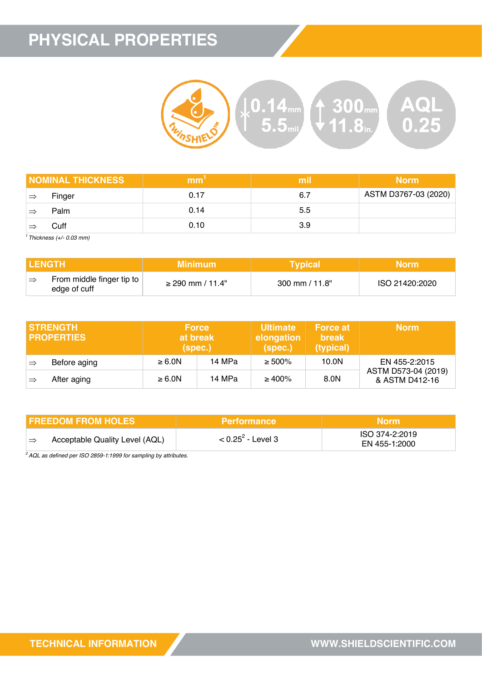## **PHYSICAL PROPERTIES**



|    | <b>NOMINAL THICKNESS</b> | mm   | mil | <b>Norm</b>          |
|----|--------------------------|------|-----|----------------------|
| ∣⇒ | Finger                   | 0.17 | 6.7 | ASTM D3767-03 (2020) |
| ≔  | Palm                     | 0.14 | 5.5 |                      |
|    | Cuff                     | 0.10 | 3.9 |                      |

*<sup>1</sup>Thickness (+/- 0.03 mm)*

| <b>I LENGTH</b> |                                           | Minimum '             | <b>Typical</b>            | Morm'          |
|-----------------|-------------------------------------------|-----------------------|---------------------------|----------------|
|                 | From middle finger tip to<br>edge of cuff | $\geq$ 290 mm / 11.4" | $300 \text{ mm} / 11.8$ " | ISO 21420:2020 |

|               | <b>ISTRENGTH</b><br><b>I PROPERTIES</b> | <b>Force</b><br>at break<br>(spec.) |        | <b>Ultimate</b><br>elongation<br>(spec.) | <b>Force at</b><br><b>break</b><br>(typical) | <b>Norm</b>                           |
|---------------|-----------------------------------------|-------------------------------------|--------|------------------------------------------|----------------------------------------------|---------------------------------------|
| $\Rightarrow$ | Before aging                            | $\geq 6.0N$                         | 14 MPa | $\geq 500\%$                             | 10.0N                                        | EN 455-2:2015                         |
| ∣⇒            | After aging                             | $\geq 6.0N$                         | 14 MPa | $\geq 400\%$                             | 8.0N                                         | ASTM D573-04 (2019)<br>& ASTM D412-16 |

| I FREEDOM FROM HOLES           | <b>Performance</b>   | <b>Norm</b>                     |  |
|--------------------------------|----------------------|---------------------------------|--|
| Acceptable Quality Level (AQL) | $< 0.25^2$ - Level 3 | ISO 374-2:2019<br>EN 455-1:2000 |  |

*<sup>2</sup>AQL as defined per ISO 2859-1:1999 for sampling by attributes.*